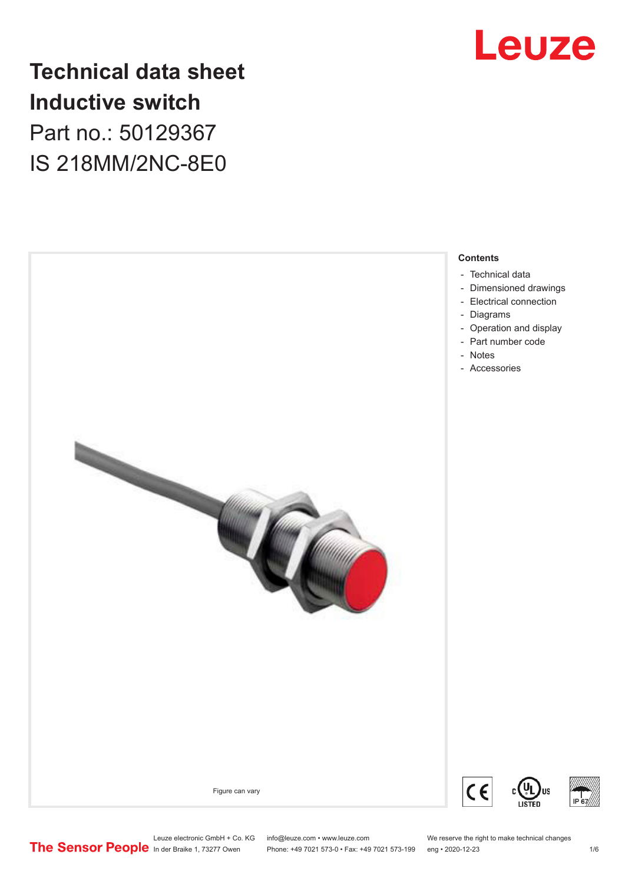

### **Technical data sheet Inductive switch** Part no.: 50129367 IS 218MM/2NC-8E0

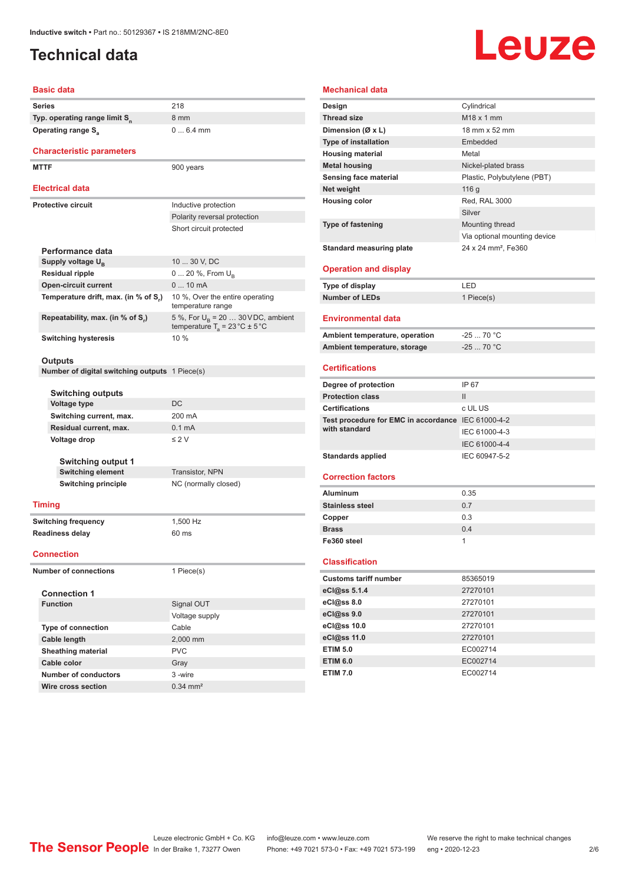#### <span id="page-1-0"></span>**Technical data**

# Leuze

#### **Basic data**

|  | Series                                                | 218                                                  |  |
|--|-------------------------------------------------------|------------------------------------------------------|--|
|  | Typ. operating range limit S <sub>n</sub>             | 8 mm                                                 |  |
|  | Operating range S <sub>a</sub>                        | $06.4$ mm                                            |  |
|  |                                                       |                                                      |  |
|  | <b>Characteristic parameters</b>                      |                                                      |  |
|  | <b>MTTF</b>                                           | 900 years                                            |  |
|  |                                                       |                                                      |  |
|  | Electrical data                                       |                                                      |  |
|  | <b>Protective circuit</b>                             |                                                      |  |
|  |                                                       | Inductive protection<br>Polarity reversal protection |  |
|  |                                                       |                                                      |  |
|  |                                                       | Short circuit protected                              |  |
|  | Performance data                                      |                                                      |  |
|  | Supply voltage U <sub>B</sub>                         | 10  30 V, DC                                         |  |
|  | Residual ripple                                       | 0  20 %, From U <sub>B</sub>                         |  |
|  | <b>Open-circuit current</b>                           | $010$ mA                                             |  |
|  | Temperature drift, max. (in % of S <sub>r</sub> )     | 10 %, Over the entire operating                      |  |
|  |                                                       | temperature range                                    |  |
|  | Repeatability, max. (in % of S,)                      | 5 %, For $U_R$ = 20  30 VDC, ambient                 |  |
|  |                                                       | temperature $T_a = 23 \degree C \pm 5 \degree C$     |  |
|  | <b>Switching hysteresis</b>                           | 10 %                                                 |  |
|  |                                                       |                                                      |  |
|  | Outputs                                               |                                                      |  |
|  | Number of digital switching outputs 1 Piece(s)        |                                                      |  |
|  |                                                       |                                                      |  |
|  | <b>Switching outputs</b>                              | DC                                                   |  |
|  | Voltage type                                          | 200 mA                                               |  |
|  | Switching current, max.                               |                                                      |  |
|  | Residual current, max.                                | 0.1 <sub>m</sub> A                                   |  |
|  | Voltage drop                                          | $\leq$ 2 V                                           |  |
|  |                                                       |                                                      |  |
|  | <b>Switching output 1</b><br><b>Switching element</b> | <b>Transistor, NPN</b>                               |  |
|  | <b>Switching principle</b>                            | NC (normally closed)                                 |  |
|  |                                                       |                                                      |  |
|  | <b>Timing</b>                                         |                                                      |  |
|  |                                                       | 1,500 Hz                                             |  |
|  | <b>Switching frequency</b><br><b>Readiness delay</b>  | 60 ms                                                |  |
|  |                                                       |                                                      |  |
|  | <b>Connection</b>                                     |                                                      |  |
|  |                                                       |                                                      |  |
|  | <b>Number of connections</b>                          | 1 Piece(s)                                           |  |
|  | <b>Connection 1</b>                                   |                                                      |  |
|  | <b>Function</b>                                       | Signal OUT                                           |  |
|  |                                                       | Voltage supply                                       |  |
|  | Type of connection                                    | Cable                                                |  |
|  | Cable length                                          | 2,000 mm                                             |  |
|  | <b>Sheathing material</b>                             | <b>PVC</b>                                           |  |
|  | Cable color                                           | Gray                                                 |  |
|  | <b>Number of conductors</b>                           |                                                      |  |
|  |                                                       | 3 -wire                                              |  |

| Mechanical data                                    |                                 |
|----------------------------------------------------|---------------------------------|
| Design                                             | Cylindrical                     |
| <b>Thread size</b>                                 | M <sub>18</sub> x 1 mm          |
| Dimension (Ø x L)                                  | 18 mm x 52 mm                   |
| <b>Type of installation</b>                        | Embedded                        |
| <b>Housing material</b>                            | Metal                           |
| <b>Metal housing</b>                               | Nickel-plated brass             |
| Sensing face material                              | Plastic, Polybutylene (PBT)     |
| Net weight                                         | 116 g                           |
| <b>Housing color</b>                               | Red. RAL 3000                   |
|                                                    | Silver                          |
| Type of fastening                                  | Mounting thread                 |
|                                                    | Via optional mounting device    |
| <b>Standard measuring plate</b>                    | 24 x 24 mm <sup>2</sup> , Fe360 |
|                                                    |                                 |
| <b>Operation and display</b>                       |                                 |
| Type of display                                    | LED                             |
| <b>Number of LEDs</b>                              | 1 Piece(s)                      |
|                                                    |                                 |
| <b>Environmental data</b>                          |                                 |
| Ambient temperature, operation                     | $-2570 °C$                      |
| Ambient temperature, storage                       | $-2570 °C$                      |
|                                                    |                                 |
| <b>Certifications</b>                              |                                 |
|                                                    |                                 |
| Degree of protection                               | IP 67                           |
| <b>Protection class</b>                            | $\mathbf{H}$                    |
| <b>Certifications</b>                              | c UL US                         |
| Test procedure for EMC in accordance IEC 61000-4-2 |                                 |
| with standard                                      | IEC 61000-4-3                   |
|                                                    | IEC 61000-4-4                   |
| <b>Standards applied</b>                           | IEC 60947-5-2                   |
|                                                    |                                 |
| <b>Correction factors</b>                          |                                 |
| <b>Aluminum</b>                                    | 0.35                            |
| <b>Stainless steel</b>                             | 0.7                             |
| Copper                                             | 0.3                             |
| <b>Brass</b>                                       | 0.4                             |
| Fe360 steel                                        | 1                               |
|                                                    |                                 |
| <b>Classification</b>                              |                                 |
| <b>Customs tariff number</b>                       | 85365019                        |
| eCl@ss 5.1.4                                       | 27270101                        |
| eCl@ss 8.0                                         | 27270101                        |
| eCl@ss 9.0                                         | 27270101                        |
| eCl@ss 10.0                                        | 27270101                        |
| eCl@ss 11.0                                        | 27270101                        |
| <b>ETIM 5.0</b><br><b>ETIM 6.0</b>                 | EC002714<br>EC002714            |

**ETIM 7.0** EC002714

**Wire cross section** 0.34 mm<sup>2</sup>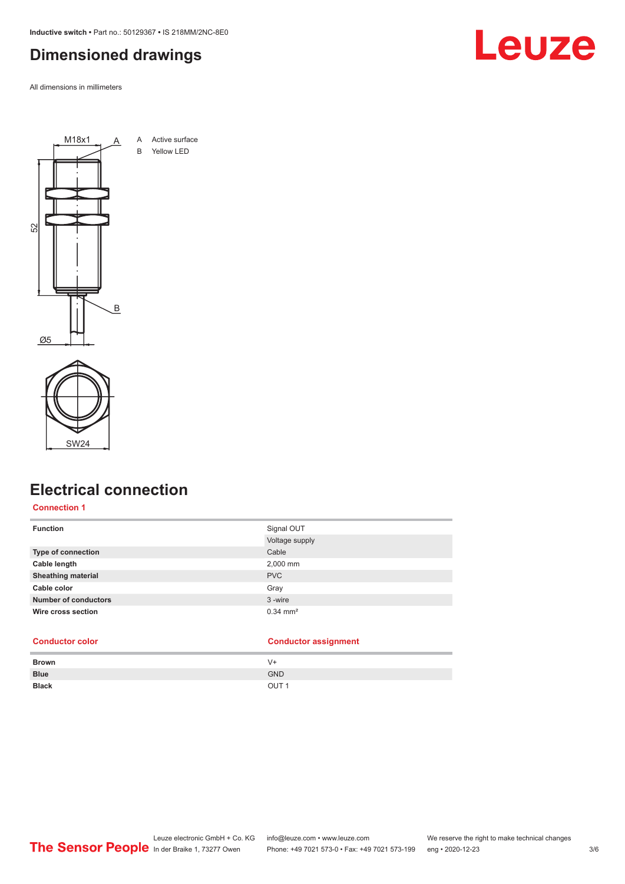<span id="page-2-0"></span>**Inductive switch •** Part no.: 50129367 **•** IS 218MM/2NC-8E0

#### **Dimensioned drawings**

All dimensions in millimeters







#### **Electrical connection**

#### **Connection 1**

| <b>Function</b>             | Signal OUT<br>Voltage supply |
|-----------------------------|------------------------------|
| <b>Type of connection</b>   | Cable                        |
| Cable length                | 2,000 mm                     |
| <b>Sheathing material</b>   | <b>PVC</b>                   |
| Cable color                 | Gray                         |
| <b>Number of conductors</b> | 3-wire                       |
| Wire cross section          | $0.34$ mm <sup>2</sup>       |

#### **Conductor color Conductor assignment**

| <b>Brown</b> | V+               |
|--------------|------------------|
| <b>Blue</b>  | <b>GND</b>       |
| <b>Black</b> | OUT <sub>1</sub> |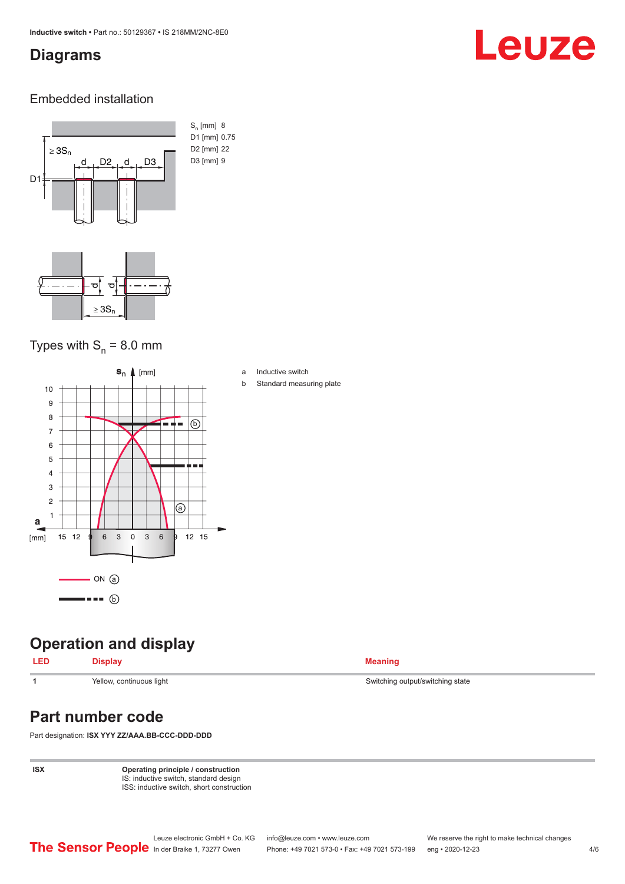#### <span id="page-3-0"></span>**Diagrams**

## Leuze

#### Embedded installation



#### Types with  $S_{n}$  = 8.0 mm



#### **Operation and display**

#### **LED Display Meaning**

### **Part number code**

Part designation: **ISX YYY ZZ/AAA.BB-CCC-DDD-DDD**

**ISX Operating principle / construction** IS: inductive switch, standard design ISS: inductive switch, short construction

**1** Yellow, continuous light Switching state Switching output/switching state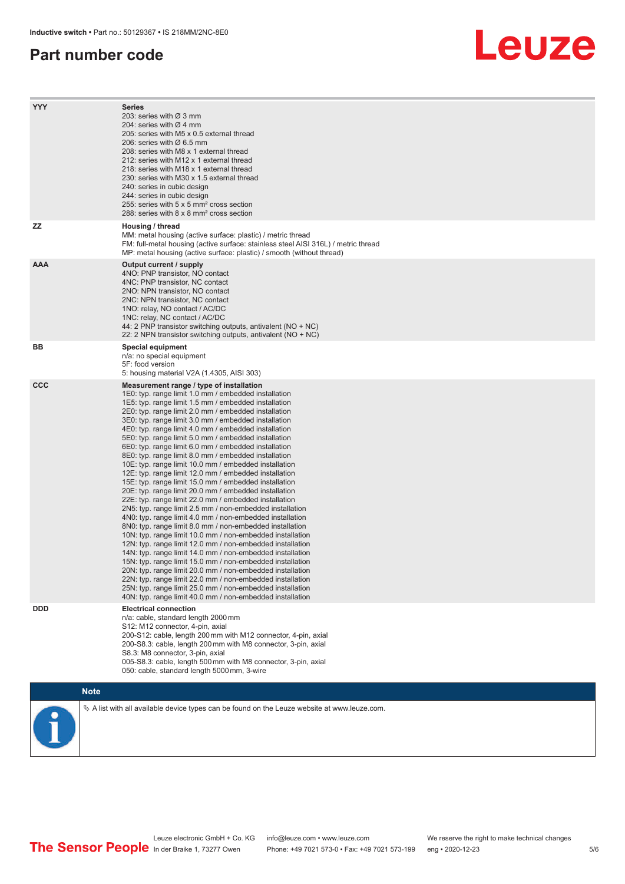#### **Part number code**

## Leuze

| <b>YYY</b>   | <b>Series</b><br>203: series with Ø 3 mm<br>204: series with $\varnothing$ 4 mm<br>205: series with M5 x 0.5 external thread<br>206: series with $\varnothing$ 6.5 mm<br>208: series with M8 x 1 external thread<br>212: series with M12 x 1 external thread<br>218: series with M18 x 1 external thread<br>230: series with M30 x 1.5 external thread<br>240: series in cubic design<br>244: series in cubic design<br>255: series with 5 x 5 mm <sup>2</sup> cross section<br>288: series with 8 x 8 mm <sup>2</sup> cross section                                                                                                                                                                                                                                                                                                                                                                                                                                                                                                                                                                                                                                                                                                                                                                                                                                                                                                                                                              |
|--------------|---------------------------------------------------------------------------------------------------------------------------------------------------------------------------------------------------------------------------------------------------------------------------------------------------------------------------------------------------------------------------------------------------------------------------------------------------------------------------------------------------------------------------------------------------------------------------------------------------------------------------------------------------------------------------------------------------------------------------------------------------------------------------------------------------------------------------------------------------------------------------------------------------------------------------------------------------------------------------------------------------------------------------------------------------------------------------------------------------------------------------------------------------------------------------------------------------------------------------------------------------------------------------------------------------------------------------------------------------------------------------------------------------------------------------------------------------------------------------------------------------|
| <b>ZZ</b>    | Housing / thread<br>MM: metal housing (active surface: plastic) / metric thread<br>FM: full-metal housing (active surface: stainless steel AISI 316L) / metric thread<br>MP: metal housing (active surface: plastic) / smooth (without thread)                                                                                                                                                                                                                                                                                                                                                                                                                                                                                                                                                                                                                                                                                                                                                                                                                                                                                                                                                                                                                                                                                                                                                                                                                                                    |
| <b>AAA</b>   | Output current / supply<br>4NO: PNP transistor, NO contact<br>4NC: PNP transistor, NC contact<br>2NO: NPN transistor, NO contact<br>2NC: NPN transistor, NC contact<br>1NO: relay, NO contact / AC/DC<br>1NC: relay, NC contact / AC/DC<br>44: 2 PNP transistor switching outputs, antivalent (NO + NC)<br>22: 2 NPN transistor switching outputs, antivalent (NO + NC)                                                                                                                                                                                                                                                                                                                                                                                                                                                                                                                                                                                                                                                                                                                                                                                                                                                                                                                                                                                                                                                                                                                           |
| BВ           | <b>Special equipment</b><br>n/a: no special equipment<br>5F: food version<br>5: housing material V2A (1.4305, AISI 303)                                                                                                                                                                                                                                                                                                                                                                                                                                                                                                                                                                                                                                                                                                                                                                                                                                                                                                                                                                                                                                                                                                                                                                                                                                                                                                                                                                           |
| $_{\rm ccc}$ | Measurement range / type of installation<br>1E0: typ. range limit 1.0 mm / embedded installation<br>1E5: typ. range limit 1.5 mm / embedded installation<br>2E0: typ. range limit 2.0 mm / embedded installation<br>3E0: typ. range limit 3.0 mm / embedded installation<br>4E0: typ. range limit 4.0 mm / embedded installation<br>5E0: typ. range limit 5.0 mm / embedded installation<br>6E0: typ. range limit 6.0 mm / embedded installation<br>8E0: typ. range limit 8.0 mm / embedded installation<br>10E: typ. range limit 10.0 mm / embedded installation<br>12E: typ. range limit 12.0 mm / embedded installation<br>15E: typ. range limit 15.0 mm / embedded installation<br>20E: typ. range limit 20.0 mm / embedded installation<br>22E: typ. range limit 22.0 mm / embedded installation<br>2N5: typ. range limit 2.5 mm / non-embedded installation<br>4N0: typ. range limit 4.0 mm / non-embedded installation<br>8NO: typ. range limit 8.0 mm / non-embedded installation<br>10N: typ. range limit 10.0 mm / non-embedded installation<br>12N: typ. range limit 12.0 mm / non-embedded installation<br>14N: typ. range limit 14.0 mm / non-embedded installation<br>15N: typ. range limit 15.0 mm / non-embedded installation<br>20N: typ. range limit 20.0 mm / non-embedded installation<br>22N: typ. range limit 22.0 mm / non-embedded installation<br>25N: typ. range limit 25.0 mm / non-embedded installation<br>40N: typ. range limit 40.0 mm / non-embedded installation |
| <b>DDD</b>   | <b>Electrical connection</b><br>n/a: cable, standard length 2000 mm<br>S12: M12 connector, 4-pin, axial<br>200-S12: cable, length 200 mm with M12 connector, 4-pin, axial<br>200-S8.3: cable, length 200 mm with M8 connector, 3-pin, axial<br>S8.3: M8 connector, 3-pin, axial<br>005-S8.3: cable, length 500 mm with M8 connector, 3-pin, axial<br>050: cable, standard length 5000 mm, 3-wire                                                                                                                                                                                                                                                                                                                                                                                                                                                                                                                                                                                                                                                                                                                                                                                                                                                                                                                                                                                                                                                                                                  |
|              | <b>Note</b>                                                                                                                                                                                                                                                                                                                                                                                                                                                                                                                                                                                                                                                                                                                                                                                                                                                                                                                                                                                                                                                                                                                                                                                                                                                                                                                                                                                                                                                                                       |
|              | $\&$ A list with all available device types can be found on the Leuze website at www.leuze.com.                                                                                                                                                                                                                                                                                                                                                                                                                                                                                                                                                                                                                                                                                                                                                                                                                                                                                                                                                                                                                                                                                                                                                                                                                                                                                                                                                                                                   |



In der Braike 1, 73277 Owen Phone: +49 7021 573-0 • Fax: +49 7021 573-199 eng • 2020-12-23